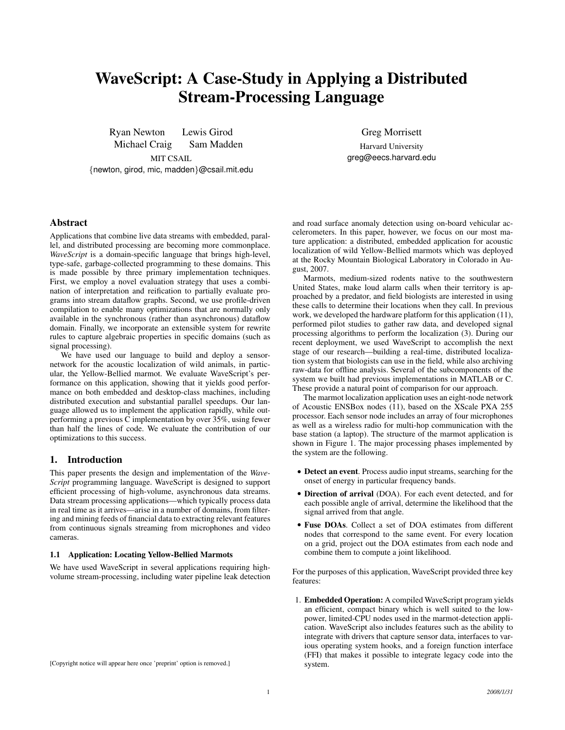# WaveScript: A Case-Study in Applying a Distributed Stream-Processing Language

Ryan Newton Lewis Girod Michael Craig Sam Madden Greg Morrisett

Harvard University greg@eecs.harvard.edu

# MIT CSAIL {newton, girod, mic, madden}@csail.mit.edu

# Abstract

Applications that combine live data streams with embedded, parallel, and distributed processing are becoming more commonplace. *WaveScript* is a domain-specific language that brings high-level, type-safe, garbage-collected programming to these domains. This is made possible by three primary implementation techniques. First, we employ a novel evaluation strategy that uses a combination of interpretation and reification to partially evaluate programs into stream dataflow graphs. Second, we use profile-driven compilation to enable many optimizations that are normally only available in the synchronous (rather than asynchronous) dataflow domain. Finally, we incorporate an extensible system for rewrite rules to capture algebraic properties in specific domains (such as signal processing).

We have used our language to build and deploy a sensornetwork for the acoustic localization of wild animals, in particular, the Yellow-Bellied marmot. We evaluate WaveScript's performance on this application, showing that it yields good performance on both embedded and desktop-class machines, including distributed execution and substantial parallel speedups. Our language allowed us to implement the application rapidly, while outperforming a previous C implementation by over 35%, using fewer than half the lines of code. We evaluate the contribution of our optimizations to this success.

# 1. Introduction

This paper presents the design and implementation of the *Wave-Script* programming language. WaveScript is designed to support efficient processing of high-volume, asynchronous data streams. Data stream processing applications—which typically process data in real time as it arrives—arise in a number of domains, from filtering and mining feeds of financial data to extracting relevant features from continuous signals streaming from microphones and video cameras.

#### 1.1 Application: Locating Yellow-Bellied Marmots

We have used WaveScript in several applications requiring highvolume stream-processing, including water pipeline leak detection

and road surface anomaly detection using on-board vehicular accelerometers. In this paper, however, we focus on our most mature application: a distributed, embedded application for acoustic localization of wild Yellow-Bellied marmots which was deployed at the Rocky Mountain Biological Laboratory in Colorado in August, 2007.

Marmots, medium-sized rodents native to the southwestern United States, make loud alarm calls when their territory is approached by a predator, and field biologists are interested in using these calls to determine their locations when they call. In previous work, we developed the hardware platform for this application (11), performed pilot studies to gather raw data, and developed signal processing algorithms to perform the localization (3). During our recent deployment, we used WaveScript to accomplish the next stage of our research—building a real-time, distributed localization system that biologists can use in the field, while also archiving raw-data for offline analysis. Several of the subcomponents of the system we built had previous implementations in MATLAB or C. These provide a natural point of comparison for our approach.

The marmot localization application uses an eight-node network of Acoustic ENSBox nodes (11), based on the XScale PXA 255 processor. Each sensor node includes an array of four microphones as well as a wireless radio for multi-hop communication with the base station (a laptop). The structure of the marmot application is shown in Figure 1. The major processing phases implemented by the system are the following.

- Detect an event. Process audio input streams, searching for the onset of energy in particular frequency bands.
- Direction of arrival (DOA). For each event detected, and for each possible angle of arrival, determine the likelihood that the signal arrived from that angle.
- Fuse DOAs. Collect a set of DOA estimates from different nodes that correspond to the same event. For every location on a grid, project out the DOA estimates from each node and combine them to compute a joint likelihood.

For the purposes of this application, WaveScript provided three key features:

1. Embedded Operation: A compiled WaveScript program yields an efficient, compact binary which is well suited to the lowpower, limited-CPU nodes used in the marmot-detection application. WaveScript also includes features such as the ability to integrate with drivers that capture sensor data, interfaces to various operating system hooks, and a foreign function interface (FFI) that makes it possible to integrate legacy code into the system.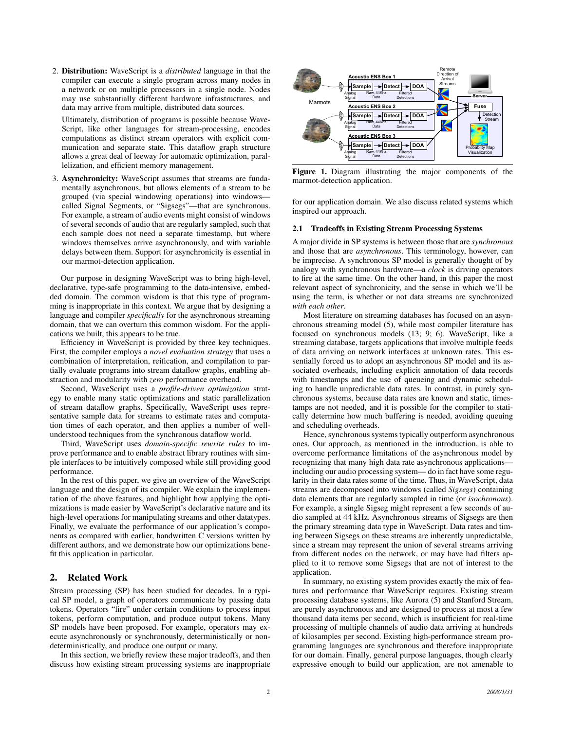2. Distribution: WaveScript is a *distributed* language in that the compiler can execute a single program across many nodes in a network or on multiple processors in a single node. Nodes may use substantially different hardware infrastructures, and data may arrive from multiple, distributed data sources.

Ultimately, distribution of programs is possible because Wave-Script, like other languages for stream-processing, encodes computations as distinct stream operators with explicit communication and separate state. This dataflow graph structure allows a great deal of leeway for automatic optimization, parallelization, and efficient memory management.

3. Asynchronicity: WaveScript assumes that streams are fundamentally asynchronous, but allows elements of a stream to be grouped (via special windowing operations) into windows called Signal Segments, or "Sigsegs"—that are synchronous. For example, a stream of audio events might consist of windows of several seconds of audio that are regularly sampled, such that each sample does not need a separate timestamp, but where windows themselves arrive asynchronously, and with variable delays between them. Support for asynchronicity is essential in our marmot-detection application.

Our purpose in designing WaveScript was to bring high-level, declarative, type-safe programming to the data-intensive, embedded domain. The common wisdom is that this type of programming is inappropriate in this context. We argue that by designing a language and compiler *specifically* for the asynchronous streaming domain, that we can overturn this common wisdom. For the applications we built, this appears to be true.

Efficiency in WaveScript is provided by three key techniques. First, the compiler employs a *novel evaluation strategy* that uses a combination of interpretation, reification, and compilation to partially evaluate programs into stream dataflow graphs, enabling abstraction and modularity with *zero* performance overhead.

Second, WaveScript uses a *profile-driven optimization* strategy to enable many static optimizations and static parallelization of stream dataflow graphs. Specifically, WaveScript uses representative sample data for streams to estimate rates and computation times of each operator, and then applies a number of wellunderstood techniques from the synchronous dataflow world.

Third, WaveScript uses *domain-specific rewrite rules* to improve performance and to enable abstract library routines with simple interfaces to be intuitively composed while still providing good performance.

In the rest of this paper, we give an overview of the WaveScript language and the design of its compiler. We explain the implementation of the above features, and highlight how applying the optimizations is made easier by WaveScript's declarative nature and its high-level operations for manipulating streams and other datatypes. Finally, we evaluate the performance of our application's components as compared with earlier, handwritten C versions written by different authors, and we demonstrate how our optimizations benefit this application in particular.

# 2. Related Work

Stream processing (SP) has been studied for decades. In a typical SP model, a graph of operators communicate by passing data tokens. Operators "fire" under certain conditions to process input tokens, perform computation, and produce output tokens. Many SP models have been proposed. For example, operators may execute asynchronously or synchronously, deterministically or nondeterministically, and produce one output or many.

In this section, we briefly review these major tradeoffs, and then discuss how existing stream processing systems are inappropriate



Figure 1. Diagram illustrating the major components of the marmot-detection application.

for our application domain. We also discuss related systems which inspired our approach.

# 2.1 Tradeoffs in Existing Stream Processing Systems

A major divide in SP systems is between those that are *synchronous* and those that are *asynchronous*. This terminology, however, can be imprecise. A synchronous SP model is generally thought of by analogy with synchronous hardware—a *clock* is driving operators to fire at the same time. On the other hand, in this paper the most relevant aspect of synchronicity, and the sense in which we'll be using the term, is whether or not data streams are synchronized *with each other*.

Most literature on streaming databases has focused on an asynchronous streaming model (5), while most compiler literature has focused on synchronous models (13; 9; 6). WaveScript, like a streaming database, targets applications that involve multiple feeds of data arriving on network interfaces at unknown rates. This essentially forced us to adopt an asynchronous SP model and its associated overheads, including explicit annotation of data records with timestamps and the use of queueing and dynamic scheduling to handle unpredictable data rates. In contrast, in purely synchronous systems, because data rates are known and static, timestamps are not needed, and it is possible for the compiler to statically determine how much buffering is needed, avoiding queuing and scheduling overheads.

Hence, synchronous systems typically outperform asynchronous ones. Our approach, as mentioned in the introduction, is able to overcome performance limitations of the asynchronous model by recognizing that many high data rate asynchronous applications including our audio processing system— do in fact have some regularity in their data rates some of the time. Thus, in WaveScript, data streams are decomposed into windows (called *Sigsegs*) containing data elements that are regularly sampled in time (or *isochronous*). For example, a single Sigseg might represent a few seconds of audio sampled at 44 kHz. Asynchronous streams of Sigsegs are then the primary streaming data type in WaveScript. Data rates and timing between Sigsegs on these streams are inherently unpredictable, since a stream may represent the union of several streams arriving from different nodes on the network, or may have had filters applied to it to remove some Sigsegs that are not of interest to the application.

In summary, no existing system provides exactly the mix of features and performance that WaveScript requires. Existing stream processing database systems, like Aurora (5) and Stanford Stream, are purely asynchronous and are designed to process at most a few thousand data items per second, which is insufficient for real-time processing of multiple channels of audio data arriving at hundreds of kilosamples per second. Existing high-performance stream programming languages are synchronous and therefore inappropriate for our domain. Finally, general purpose languages, though clearly expressive enough to build our application, are not amenable to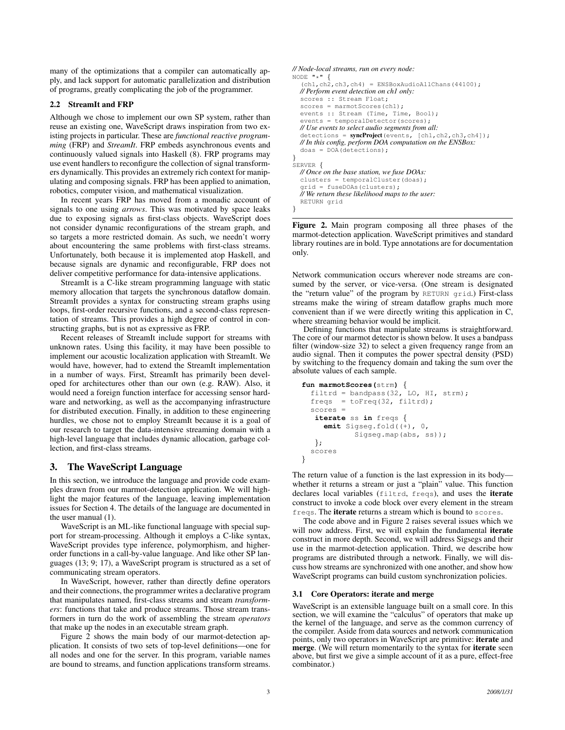many of the optimizations that a compiler can automatically apply, and lack support for automatic parallelization and distribution of programs, greatly complicating the job of the programmer.

#### 2.2 StreamIt and FRP

Although we chose to implement our own SP system, rather than reuse an existing one, WaveScript draws inspiration from two existing projects in particular. These are *functional reactive programming* (FRP) and *StreamIt*. FRP embeds asynchronous events and continuously valued signals into Haskell (8). FRP programs may use event handlers to reconfigure the collection of signal transformers dynamically. This provides an extremely rich context for manipulating and composing signals. FRP has been applied to animation, robotics, computer vision, and mathematical visualization.

In recent years FRP has moved from a monadic account of signals to one using *arrows*. This was motivated by space leaks due to exposing signals as first-class objects. WaveScript does not consider dynamic reconfigurations of the stream graph, and so targets a more restricted domain. As such, we needn't worry about encountering the same problems with first-class streams. Unfortunately, both because it is implemented atop Haskell, and because signals are dynamic and reconfigurable, FRP does not deliver competitive performance for data-intensive applications.

StreamIt is a C-like stream programming language with static memory allocation that targets the synchronous dataflow domain. StreamIt provides a syntax for constructing stream graphs using loops, first-order recursive functions, and a second-class representation of streams. This provides a high degree of control in constructing graphs, but is not as expressive as FRP.

Recent releases of StreamIt include support for streams with unknown rates. Using this facility, it may have been possible to implement our acoustic localization application with StreamIt. We would have, however, had to extend the StreamIt implementation in a number of ways. First, StreamIt has primarily been developed for architectures other than our own (e.g. RAW). Also, it would need a foreign function interface for accessing sensor hardware and networking, as well as the accompanying infrastructure for distributed execution. Finally, in addition to these engineering hurdles, we chose not to employ StreamIt because it is a goal of our research to target the data-intensive streaming domain with a high-level language that includes dynamic allocation, garbage collection, and first-class streams.

# 3. The WaveScript Language

In this section, we introduce the language and provide code examples drawn from our marmot-detection application. We will highlight the major features of the language, leaving implementation issues for Section 4. The details of the language are documented in the user manual (1).

WaveScript is an ML-like functional language with special support for stream-processing. Although it employs a C-like syntax, WaveScript provides type inference, polymorphism, and higherorder functions in a call-by-value language. And like other SP languages (13; 9; 17), a WaveScript program is structured as a set of communicating stream operators.

In WaveScript, however, rather than directly define operators and their connections, the programmer writes a declarative program that manipulates named, first-class streams and stream *transformers*: functions that take and produce streams. Those stream transformers in turn do the work of assembling the stream *operators* that make up the nodes in an executable stream graph.

Figure 2 shows the main body of our marmot-detection application. It consists of two sets of top-level definitions—one for all nodes and one for the server. In this program, variable names are bound to streams, and function applications transform streams.

```
// Node-local streams, run on every node:
NODE "\star" {
  (ch1, ch2, ch3, ch4) = ENSBoxAudioAllChans(44100);// Perform event detection on ch1 only:
  scores :: Stream Float;
  scores = marmotScores(ch1);
  events :: Stream (Time, Time, Bool);
  events = temporalDetector(scores);
  // Use events to select audio segments from all:
  detections = syncProject(events, [ch1,ch2,ch3,ch4]);
  // In this config, perform DOA computation on the ENSBox:
  doas = DOA(detections);
}
SERVER {
  // Once on the base station, we fuse DOAs:
  clusters = temporalCluster(doas);
  grid = fuseDOAs(clusters);
  // We return these likelihood maps to the user:
  RETURN grid
```
}

Figure 2. Main program composing all three phases of the marmot-detection application. WaveScript primitives and standard library routines are in bold. Type annotations are for documentation only.

Network communication occurs wherever node streams are consumed by the server, or vice-versa. (One stream is designated the "return value" of the program by RETURN grid.) First-class streams make the wiring of stream dataflow graphs much more convenient than if we were directly writing this application in C, where streaming behavior would be implicit.

Defining functions that manipulate streams is straightforward. The core of our marmot detector is shown below. It uses a bandpass filter (window-size 32) to select a given frequency range from an audio signal. Then it computes the power spectral density (PSD) by switching to the frequency domain and taking the sum over the absolute values of each sample.

```
fun marmotScores(strm) {
  filtrd = bandpass(32, LO, HI, strm);
  freqs = toFreq(32, filterd);scores =
   iterate ss in freqs {
     emit Sigseg.fold((+), 0,
            Sigseg.map(abs, ss));
   };
  scores
}
```
The return value of a function is the last expression in its body whether it returns a stream or just a "plain" value. This function declares local variables (filtrd, freqs), and uses the iterate construct to invoke a code block over every element in the stream freqs. The iterate returns a stream which is bound to scores.

The code above and in Figure 2 raises several issues which we will now address. First, we will explain the fundamental iterate construct in more depth. Second, we will address Sigsegs and their use in the marmot-detection application. Third, we describe how programs are distributed through a network. Finally, we will discuss how streams are synchronized with one another, and show how WaveScript programs can build custom synchronization policies.

### 3.1 Core Operators: iterate and merge

WaveScript is an extensible language built on a small core. In this section, we will examine the "calculus" of operators that make up the kernel of the language, and serve as the common currency of the compiler. Aside from data sources and network communication points, only two operators in WaveScript are primitive: iterate and merge. (We will return momentarily to the syntax for iterate seen above, but first we give a simple account of it as a pure, effect-free combinator.)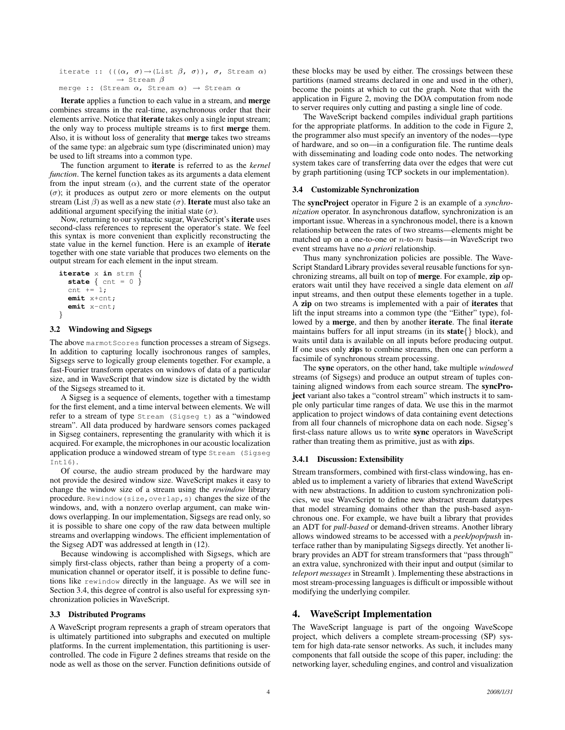iterate ::  $(((\alpha, \ \sigma) \rightarrow (List \ \beta, \ \sigma))$ ,  $\sigma$ , Stream  $\alpha)$  $\rightarrow$  Stream  $\beta$ merge :: (Stream  $\alpha$ , Stream  $\alpha$ )  $\rightarrow$  Stream  $\alpha$ 

Iterate applies a function to each value in a stream, and merge combines streams in the real-time, asynchronous order that their elements arrive. Notice that iterate takes only a single input stream; the only way to process multiple streams is to first merge them. Also, it is without loss of generality that merge takes two streams of the same type: an algebraic sum type (discriminated union) may be used to lift streams into a common type.

The function argument to iterate is referred to as the *kernel function*. The kernel function takes as its arguments a data element from the input stream  $(\alpha)$ , and the current state of the operator  $(\sigma)$ ; it produces as output zero or more elements on the output stream (List  $\beta$ ) as well as a new state ( $\sigma$ ). **Iterate** must also take an additional argument specifying the initial state  $(\sigma)$ .

Now, returning to our syntactic sugar, WaveScript's iterate uses second-class references to represent the operator's state. We feel this syntax is more convenient than explicitly reconstructing the state value in the kernel function. Here is an example of iterate together with one state variable that produces two elements on the output stream for each element in the input stream.

```
iterate x in strm {
  state { cnt = 0 }
  cnt += 1;
  emit x+cnt;
  emit x-cnt;
}
```
## 3.2 Windowing and Sigsegs

The above marmot Scores function processes a stream of Sigsegs. In addition to capturing locally isochronous ranges of samples, Sigsegs serve to logically group elements together. For example, a fast-Fourier transform operates on windows of data of a particular size, and in WaveScript that window size is dictated by the width of the Sigsegs streamed to it.

A Sigseg is a sequence of elements, together with a timestamp for the first element, and a time interval between elements. We will refer to a stream of type Stream (Sigseg t) as a "windowed stream". All data produced by hardware sensors comes packaged in Sigseg containers, representing the granularity with which it is acquired. For example, the microphones in our acoustic localization application produce a windowed stream of type Stream (Sigseg Int16).

Of course, the audio stream produced by the hardware may not provide the desired window size. WaveScript makes it easy to change the window size of a stream using the *rewindow* library procedure. Rewindow(size,overlap,s) changes the size of the windows, and, with a nonzero overlap argument, can make windows overlapping. In our implementation, Sigsegs are read only, so it is possible to share one copy of the raw data between multiple streams and overlapping windows. The efficient implementation of the Sigseg ADT was addressed at length in (12).

Because windowing is accomplished with Sigsegs, which are simply first-class objects, rather than being a property of a communication channel or operator itself, it is possible to define functions like rewindow directly in the language. As we will see in Section 3.4, this degree of control is also useful for expressing synchronization policies in WaveScript.

#### 3.3 Distributed Programs

A WaveScript program represents a graph of stream operators that is ultimately partitioned into subgraphs and executed on multiple platforms. In the current implementation, this partitioning is usercontrolled. The code in Figure 2 defines streams that reside on the node as well as those on the server. Function definitions outside of these blocks may be used by either. The crossings between these partitions (named streams declared in one and used in the other), become the points at which to cut the graph. Note that with the application in Figure 2, moving the DOA computation from node to server requires only cutting and pasting a single line of code.

The WaveScript backend compiles individual graph partitions for the appropriate platforms. In addition to the code in Figure 2, the programmer also must specify an inventory of the nodes—type of hardware, and so on—in a configuration file. The runtime deals with disseminating and loading code onto nodes. The networking system takes care of transferring data over the edges that were cut by graph partitioning (using TCP sockets in our implementation).

#### 3.4 Customizable Synchronization

The syncProject operator in Figure 2 is an example of a *synchronization* operator. In asynchronous dataflow, synchronization is an important issue. Whereas in a synchronous model, there is a known relationship between the rates of two streams—elements might be matched up on a one-to-one or  $n$ -to- $m$  basis—in WaveScript two event streams have no *a priori* relationship.

Thus many synchronization policies are possible. The Wave-Script Standard Library provides several reusable functions for synchronizing streams, all built on top of merge. For example, zip operators wait until they have received a single data element on *all* input streams, and then output these elements together in a tuple. A zip on two streams is implemented with a pair of iterates that lift the input streams into a common type (the "Either" type), followed by a merge, and then by another iterate. The final iterate maintains buffers for all input streams (in its state{} block), and waits until data is available on all inputs before producing output. If one uses only zips to combine streams, then one can perform a facsimile of synchronous stream processing.

The sync operators, on the other hand, take multiple *windowed* streams (of Sigsegs) and produce an output stream of tuples containing aligned windows from each source stream. The syncProject variant also takes a "control stream" which instructs it to sample only particular time ranges of data. We use this in the marmot application to project windows of data containing event detections from all four channels of microphone data on each node. Sigseg's first-class nature allows us to write sync operators in WaveScript rather than treating them as primitive, just as with zips.

#### 3.4.1 Discussion: Extensibility

Stream transformers, combined with first-class windowing, has enabled us to implement a variety of libraries that extend WaveScript with new abstractions. In addition to custom synchronization policies, we use WaveScript to define new abstract stream datatypes that model streaming domains other than the push-based asynchronous one. For example, we have built a library that provides an ADT for *pull-based* or demand-driven streams. Another library allows windowed streams to be accessed with a *peek/pop/push* interface rather than by manipulating Sigsegs directly. Yet another library provides an ADT for stream transformers that "pass through" an extra value, synchronized with their input and output (similar to *teleport messages* in StreamIt ). Implementing these abstractions in most stream-processing languages is difficult or impossible without modifying the underlying compiler.

# 4. WaveScript Implementation

The WaveScript language is part of the ongoing WaveScope project, which delivers a complete stream-processing (SP) system for high data-rate sensor networks. As such, it includes many components that fall outside the scope of this paper, including: the networking layer, scheduling engines, and control and visualization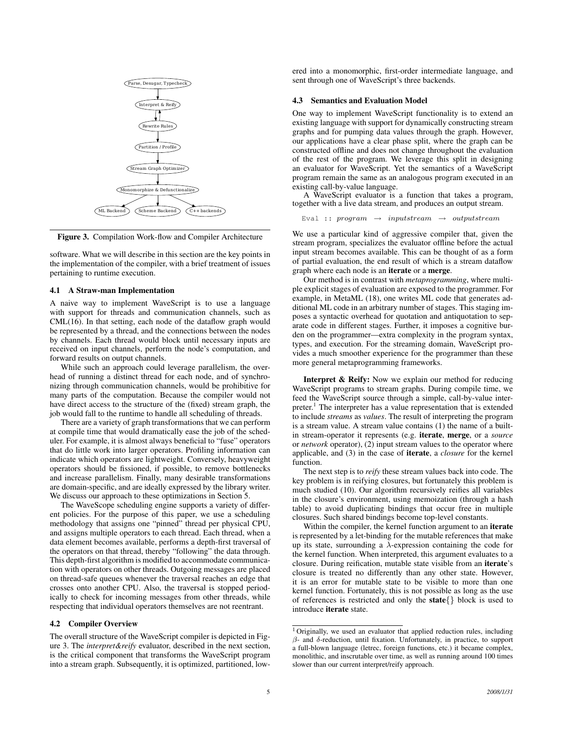

Figure 3. Compilation Work-flow and Compiler Architecture

software. What we will describe in this section are the key points in the implementation of the compiler, with a brief treatment of issues pertaining to runtime execution.

### 4.1 A Straw-man Implementation

A naive way to implement WaveScript is to use a language with support for threads and communication channels, such as CML(16). In that setting, each node of the dataflow graph would be represented by a thread, and the connections between the nodes by channels. Each thread would block until necessary inputs are received on input channels, perform the node's computation, and forward results on output channels.

While such an approach could leverage parallelism, the overhead of running a distinct thread for each node, and of synchronizing through communication channels, would be prohibitive for many parts of the computation. Because the compiler would not have direct access to the structure of the (fixed) stream graph, the job would fall to the runtime to handle all scheduling of threads.

There are a variety of graph transformations that we can perform at compile time that would dramatically ease the job of the scheduler. For example, it is almost always beneficial to "fuse" operators that do little work into larger operators. Profiling information can indicate which operators are lightweight. Conversely, heavyweight operators should be fissioned, if possible, to remove bottlenecks and increase parallelism. Finally, many desirable transformations are domain-specific, and are ideally expressed by the library writer. We discuss our approach to these optimizations in Section 5.

The WaveScope scheduling engine supports a variety of different policies. For the purpose of this paper, we use a scheduling methodology that assigns one "pinned" thread per physical CPU, and assigns multiple operators to each thread. Each thread, when a data element becomes available, performs a depth-first traversal of the operators on that thread, thereby "following" the data through. This depth-first algorithm is modified to accommodate communication with operators on other threads. Outgoing messages are placed on thread-safe queues whenever the traversal reaches an edge that crosses onto another CPU. Also, the traversal is stopped periodically to check for incoming messages from other threads, while respecting that individual operators themselves are not reentrant.

#### 4.2 Compiler Overview

The overall structure of the WaveScript compiler is depicted in Figure 3. The *interpret&reify* evaluator, described in the next section, is the critical component that transforms the WaveScript program into a stream graph. Subsequently, it is optimized, partitioned, lowered into a monomorphic, first-order intermediate language, and sent through one of WaveScript's three backends.

## 4.3 Semantics and Evaluation Model

One way to implement WaveScript functionality is to extend an existing language with support for dynamically constructing stream graphs and for pumping data values through the graph. However, our applications have a clear phase split, where the graph can be constructed offline and does not change throughout the evaluation of the rest of the program. We leverage this split in designing an evaluator for WaveScript. Yet the semantics of a WaveScript program remain the same as an analogous program executed in an existing call-by-value language.

A WaveScript evaluator is a function that takes a program, together with a live data stream, and produces an output stream.

$$
Eval :: program \rightarrow inputstream \rightarrow outputstream
$$

We use a particular kind of aggressive compiler that, given the stream program, specializes the evaluator offline before the actual input stream becomes available. This can be thought of as a form of partial evaluation, the end result of which is a stream dataflow graph where each node is an iterate or a merge.

Our method is in contrast with *metaprogramming*, where multiple explicit stages of evaluation are exposed to the programmer. For example, in MetaML (18), one writes ML code that generates additional ML code in an arbitrary number of stages. This staging imposes a syntactic overhead for quotation and antiquotation to separate code in different stages. Further, it imposes a cognitive burden on the programmer—extra complexity in the program syntax, types, and execution. For the streaming domain, WaveScript provides a much smoother experience for the programmer than these more general metaprogramming frameworks.

Interpret & Reify: Now we explain our method for reducing WaveScript programs to stream graphs. During compile time, we feed the WaveScript source through a simple, call-by-value interpreter.<sup>1</sup> The interpreter has a value representation that is extended to include *streams* as *values*. The result of interpreting the program is a stream value. A stream value contains (1) the name of a builtin stream-operator it represents (e.g. iterate, merge, or a *source* or *network* operator), (2) input stream values to the operator where applicable, and (3) in the case of iterate, a *closure* for the kernel function.

The next step is to *reify* these stream values back into code. The key problem is in reifying closures, but fortunately this problem is much studied (10). Our algorithm recursively reifies all variables in the closure's environment, using memoization (through a hash table) to avoid duplicating bindings that occur free in multiple closures. Such shared bindings become top-level constants.

Within the compiler, the kernel function argument to an iterate is represented by a let-binding for the mutable references that make up its state, surrounding a  $\lambda$ -expression containing the code for the kernel function. When interpreted, this argument evaluates to a closure. During reification, mutable state visible from an iterate's closure is treated no differently than any other state. However, it is an error for mutable state to be visible to more than one kernel function. Fortunately, this is not possible as long as the use of references is restricted and only the state{} block is used to introduce iterate state.

<sup>&</sup>lt;sup>1</sup> Originally, we used an evaluator that applied reduction rules, including  $β$ - and  $δ$ -reduction, until fixation. Unfortunately, in practice, to support a full-blown language (letrec, foreign functions, etc.) it became complex, monolithic, and inscrutable over time, as well as running around 100 times slower than our current interpret/reify approach.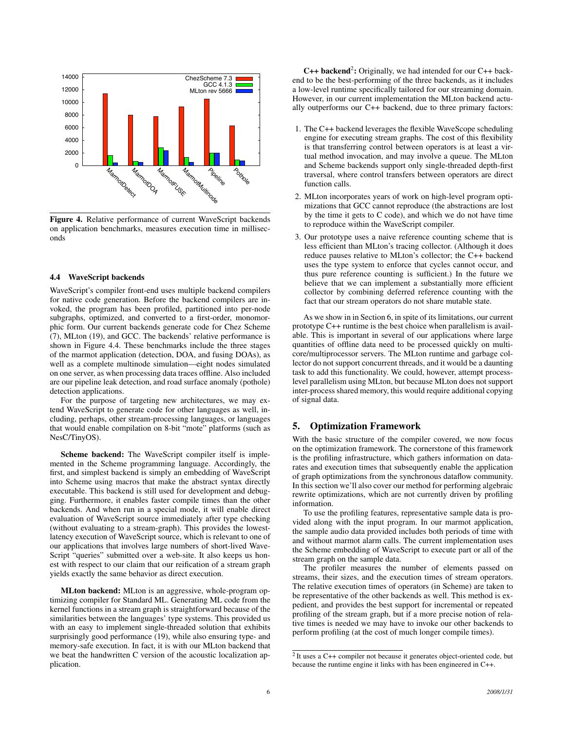

Figure 4. Relative performance of current WaveScript backends on application benchmarks, measures execution time in milliseconds

#### 4.4 WaveScript backends

WaveScript's compiler front-end uses multiple backend compilers for native code generation. Before the backend compilers are invoked, the program has been profiled, partitioned into per-node subgraphs, optimized, and converted to a first-order, monomorphic form. Our current backends generate code for Chez Scheme (7), MLton (19), and GCC. The backends' relative performance is shown in Figure 4.4. These benchmarks include the three stages of the marmot application (detection, DOA, and fusing DOAs), as well as a complete multinode simulation—eight nodes simulated on one server, as when processing data traces offline. Also included are our pipeline leak detection, and road surface anomaly (pothole) detection applications.

For the purpose of targeting new architectures, we may extend WaveScript to generate code for other languages as well, including, perhaps, other stream-processing languages, or languages that would enable compilation on 8-bit "mote" platforms (such as NesC/TinyOS).

Scheme backend: The WaveScript compiler itself is implemented in the Scheme programming language. Accordingly, the first, and simplest backend is simply an embedding of WaveScript into Scheme using macros that make the abstract syntax directly executable. This backend is still used for development and debugging. Furthermore, it enables faster compile times than the other backends. And when run in a special mode, it will enable direct evaluation of WaveScript source immediately after type checking (without evaluating to a stream-graph). This provides the lowestlatency execution of WaveScript source, which is relevant to one of our applications that involves large numbers of short-lived Wave-Script "queries" submitted over a web-site. It also keeps us honest with respect to our claim that our reification of a stream graph yields exactly the same behavior as direct execution.

MLton backend: MLton is an aggressive, whole-program optimizing compiler for Standard ML. Generating ML code from the kernel functions in a stream graph is straightforward because of the similarities between the languages' type systems. This provided us with an easy to implement single-threaded solution that exhibits surprisingly good performance (19), while also ensuring type- and memory-safe execution. In fact, it is with our MLton backend that we beat the handwritten C version of the acoustic localization application.

C++ backend<sup>2</sup>: Originally, we had intended for our C++ backend to be the best-performing of the three backends, as it includes a low-level runtime specifically tailored for our streaming domain. However, in our current implementation the MLton backend actually outperforms our C++ backend, due to three primary factors:

- 1. The C++ backend leverages the flexible WaveScope scheduling engine for executing stream graphs. The cost of this flexibility is that transferring control between operators is at least a virtual method invocation, and may involve a queue. The MLton and Scheme backends support only single-threaded depth-first traversal, where control transfers between operators are direct function calls.
- 2. MLton incorporates years of work on high-level program optimizations that GCC cannot reproduce (the abstractions are lost by the time it gets to C code), and which we do not have time to reproduce within the WaveScript compiler.
- 3. Our prototype uses a naive reference counting scheme that is less efficient than MLton's tracing collector. (Although it does reduce pauses relative to MLton's collector; the C++ backend uses the type system to enforce that cycles cannot occur, and thus pure reference counting is sufficient.) In the future we believe that we can implement a substantially more efficient collector by combining deferred reference counting with the fact that our stream operators do not share mutable state.

As we show in in Section 6, in spite of its limitations, our current prototype C++ runtime is the best choice when parallelism is available. This is important in several of our applications where large quantities of offline data need to be processed quickly on multicore/multiprocessor servers. The MLton runtime and garbage collector do not support concurrent threads, and it would be a daunting task to add this functionality. We could, however, attempt processlevel parallelism using MLton, but because MLton does not support inter-process shared memory, this would require additional copying of signal data.

# 5. Optimization Framework

With the basic structure of the compiler covered, we now focus on the optimization framework. The cornerstone of this framework is the profiling infrastructure, which gathers information on datarates and execution times that subsequently enable the application of graph optimizations from the synchronous dataflow community. In this section we'll also cover our method for performing algebraic rewrite optimizations, which are not currently driven by profiling information.

To use the profiling features, representative sample data is provided along with the input program. In our marmot application, the sample audio data provided includes both periods of time with and without marmot alarm calls. The current implementation uses the Scheme embedding of WaveScript to execute part or all of the stream graph on the sample data.

The profiler measures the number of elements passed on streams, their sizes, and the execution times of stream operators. The relative execution times of operators (in Scheme) are taken to be representative of the other backends as well. This method is expedient, and provides the best support for incremental or repeated profiling of the stream graph, but if a more precise notion of relative times is needed we may have to invoke our other backends to perform profiling (at the cost of much longer compile times).

 $2$  It uses a C++ compiler not because it generates object-oriented code, but because the runtime engine it links with has been engineered in C++.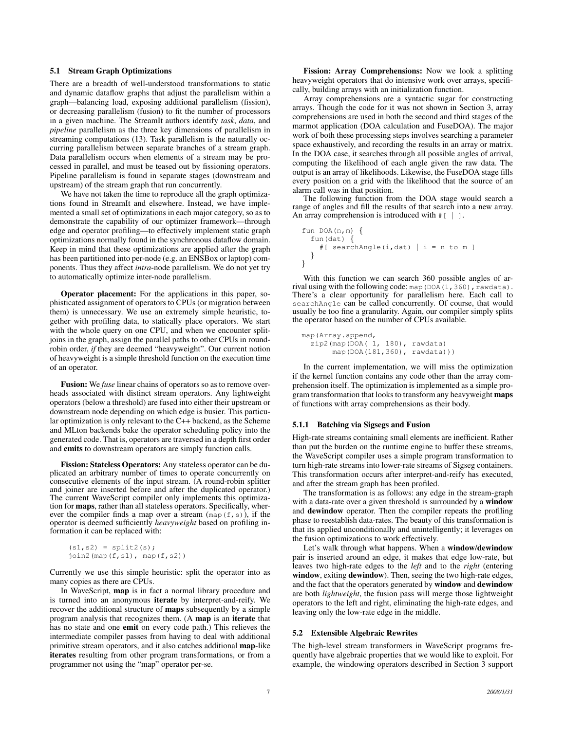## 5.1 Stream Graph Optimizations

There are a breadth of well-understood transformations to static and dynamic dataflow graphs that adjust the parallelism within a graph—balancing load, exposing additional parallelism (fission), or decreasing parallelism (fusion) to fit the number of processors in a given machine. The StreamIt authors identify *task*, *data*, and *pipeline* parallelism as the three key dimensions of parallelism in streaming computations (13). Task parallelism is the naturally occurring parallelism between separate branches of a stream graph. Data parallelism occurs when elements of a stream may be processed in parallel, and must be teased out by fissioning operators. Pipeline parallelism is found in separate stages (downstream and upstream) of the stream graph that run concurrently.

We have not taken the time to reproduce all the graph optimizations found in StreamIt and elsewhere. Instead, we have implemented a small set of optimizations in each major category, so as to demonstrate the capability of our optimizer framework—through edge and operator profiling—to effectively implement static graph optimizations normally found in the synchronous dataflow domain. Keep in mind that these optimizations are applied after the graph has been partitioned into per-node (e.g. an ENSBox or laptop) components. Thus they affect *intra*-node parallelism. We do not yet try to automatically optimize inter-node parallelism.

Operator placement: For the applications in this paper, sophisticated assignment of operators to CPUs (or migration between them) is unnecessary. We use an extremely simple heuristic, together with profiling data, to statically place operators. We start with the whole query on one CPU, and when we encounter splitjoins in the graph, assign the parallel paths to other CPUs in roundrobin order, *if* they are deemed "heavyweight". Our current notion of heavyweight is a simple threshold function on the execution time of an operator.

Fusion: We *fuse* linear chains of operators so as to remove overheads associated with distinct stream operators. Any lightweight operators (below a threshold) are fused into either their upstream or downstream node depending on which edge is busier. This particular optimization is only relevant to the C++ backend, as the Scheme and MLton backends bake the operator scheduling policy into the generated code. That is, operators are traversed in a depth first order and emits to downstream operators are simply function calls.

Fission: Stateless Operators: Any stateless operator can be duplicated an arbitrary number of times to operate concurrently on consecutive elements of the input stream. (A round-robin splitter and joiner are inserted before and after the duplicated operator.) The current WaveScript compiler only implements this optimization for maps, rather than all stateless operators. Specifically, wherever the compiler finds a map over a stream  $(\text{map}(f, s))$ , if the operator is deemed sufficiently *heavyweight* based on profiling information it can be replaced with:

```
(s1, s2) = split2(s);join2(map(f,s1), map(f,s2))
```
Currently we use this simple heuristic: split the operator into as many copies as there are CPUs.

In WaveScript, map is in fact a normal library procedure and is turned into an anonymous iterate by interpret-and-reify. We recover the additional structure of maps subsequently by a simple program analysis that recognizes them. (A map is an iterate that has no state and one emit on every code path.) This relieves the intermediate compiler passes from having to deal with additional primitive stream operators, and it also catches additional map-like iterates resulting from other program transformations, or from a programmer not using the "map" operator per-se.

Fission: Array Comprehensions: Now we look a splitting heavyweight operators that do intensive work over arrays, specifically, building arrays with an initialization function.

Array comprehensions are a syntactic sugar for constructing arrays. Though the code for it was not shown in Section 3, array comprehensions are used in both the second and third stages of the marmot application (DOA calculation and FuseDOA). The major work of both these processing steps involves searching a parameter space exhaustively, and recording the results in an array or matrix. In the DOA case, it searches through all possible angles of arrival, computing the likelihood of each angle given the raw data. The output is an array of likelihoods. Likewise, the FuseDOA stage fills every position on a grid with the likelihood that the source of an alarm call was in that position.

The following function from the DOA stage would search a range of angles and fill the results of that search into a new array. An array comprehension is introduced with  $\#$  [ | ].

```
fun DOA(n,m) {
  fun(data) {
    #[ searchAngle(i,dat) | i = n to m ]
  }
}
```
With this function we can search 360 possible angles of arrival using with the following code: map (DOA(1,360), rawdata). There's a clear opportunity for parallelism here. Each call to searchAngle can be called concurrently. Of course, that would usually be too fine a granularity. Again, our compiler simply splits the operator based on the number of CPUs available.

```
map(Array.append,
  zip2(map(DOA( 1, 180), rawdata)
       map(DOA(181,360), rawdata)))
```
In the current implementation, we will miss the optimization if the kernel function contains any code other than the array comprehension itself. The optimization is implemented as a simple program transformation that looks to transform any heavyweight maps of functions with array comprehensions as their body.

## 5.1.1 Batching via Sigsegs and Fusion

High-rate streams containing small elements are inefficient. Rather than put the burden on the runtime engine to buffer these streams, the WaveScript compiler uses a simple program transformation to turn high-rate streams into lower-rate streams of Sigseg containers. This transformation occurs after interpret-and-reify has executed, and after the stream graph has been profiled.

The transformation is as follows: any edge in the stream-graph with a data-rate over a given threshold is surrounded by a window and dewindow operator. Then the compiler repeats the profiling phase to reestablish data-rates. The beauty of this transformation is that its applied unconditionally and unintelligently; it leverages on the fusion optimizations to work effectively.

Let's walk through what happens. When a window/dewindow pair is inserted around an edge, it makes that edge low-rate, but leaves two high-rate edges to the *left* and to the *right* (entering window, exiting dewindow). Then, seeing the two high-rate edges, and the fact that the operators generated by window and dewindow are both *lightweight*, the fusion pass will merge those lightweight operators to the left and right, eliminating the high-rate edges, and leaving only the low-rate edge in the middle.

# 5.2 Extensible Algebraic Rewrites

The high-level stream transformers in WaveScript programs frequently have algebraic properties that we would like to exploit. For example, the windowing operators described in Section 3 support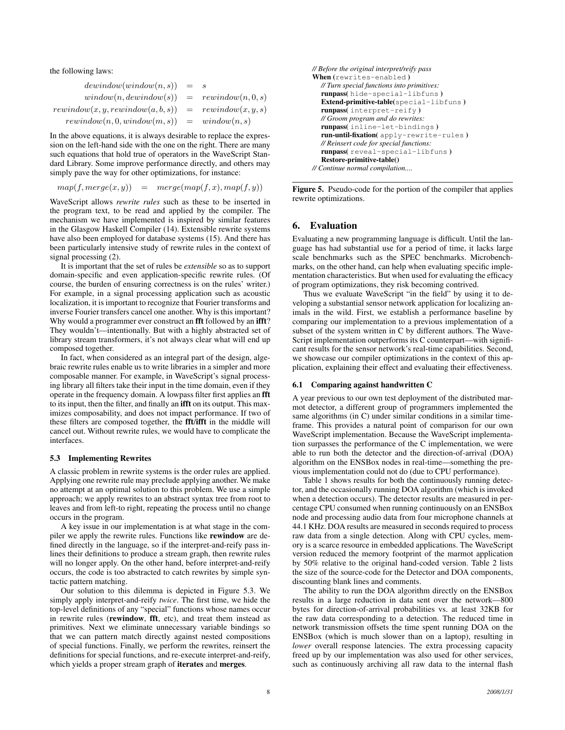the following laws:

| $dewindow(window(n, s)) = s$                            |  |
|---------------------------------------------------------|--|
| $window(n, dewindow(s)) = rewindow(n, 0, s)$            |  |
| $rewindow(x, y, rewindow(a, b, s)) = rewindow(x, y, s)$ |  |
| $rewindow(n, 0, window(m, s)) = window(n, s)$           |  |

In the above equations, it is always desirable to replace the expression on the left-hand side with the one on the right. There are many such equations that hold true of operators in the WaveScript Standard Library. Some improve performance directly, and others may simply pave the way for other optimizations, for instance:

 $map(f, merge(x, y)) = merge(map(f, x), map(f, y))$ 

WaveScript allows *rewrite rules* such as these to be inserted in the program text, to be read and applied by the compiler. The mechanism we have implemented is inspired by similar features in the Glasgow Haskell Compiler (14). Extensible rewrite systems have also been employed for database systems (15). And there has been particularly intensive study of rewrite rules in the context of signal processing (2).

It is important that the set of rules be *extensible* so as to support domain-specific and even application-specific rewrite rules. (Of course, the burden of ensuring correctness is on the rules' writer.) For example, in a signal processing application such as acoustic localization, it is important to recognize that Fourier transforms and inverse Fourier transfers cancel one another. Why is this important? Why would a programmer ever construct an **fft** followed by an **ifft**? They wouldn't—intentionally. But with a highly abstracted set of library stream transformers, it's not always clear what will end up composed together.

In fact, when considered as an integral part of the design, algebraic rewrite rules enable us to write libraries in a simpler and more composable manner. For example, in WaveScript's signal processing library all filters take their input in the time domain, even if they operate in the frequency domain. A lowpass filter first applies an fft to its input, then the filter, and finally an ifft on its output. This maximizes composability, and does not impact performance. If two of these filters are composed together, the fft/ifft in the middle will cancel out. Without rewrite rules, we would have to complicate the interfaces.

#### 5.3 Implementing Rewrites

A classic problem in rewrite systems is the order rules are applied. Applying one rewrite rule may preclude applying another. We make no attempt at an optimal solution to this problem. We use a simple approach; we apply rewrites to an abstract syntax tree from root to leaves and from left-to right, repeating the process until no change occurs in the program.

A key issue in our implementation is at what stage in the compiler we apply the rewrite rules. Functions like rewindow are defined directly in the language, so if the interpret-and-reify pass inlines their definitions to produce a stream graph, then rewrite rules will no longer apply. On the other hand, before interpret-and-reify occurs, the code is too abstracted to catch rewrites by simple syntactic pattern matching.

Our solution to this dilemma is depicted in Figure 5.3. We simply apply interpret-and-reify *twice*. The first time, we hide the top-level definitions of any "special" functions whose names occur in rewrite rules (rewindow, fft, etc), and treat them instead as primitives. Next we eliminate unnecessary variable bindings so that we can pattern match directly against nested compositions of special functions. Finally, we perform the rewrites, reinsert the definitions for special functions, and re-execute interpret-and-reify, which yields a proper stream graph of iterates and merges.

```
// Before the original interpret/reify pass
When (rewrites-enabled)
  // Turn special functions into primitives:
  runpass( hide-special-libfuns )
  Extend-primitive-table(special-libfuns )
  runpass( interpret-reify )
  // Groom program and do rewrites:
  runpass( inline-let-bindings )
  run-until-fixation( apply-rewrite-rules )
  // Reinsert code for special functions:
  runpass( reveal-special-libfuns )
  Restore-primitive-table()
// Continue normal compilation....
```
Figure 5. Pseudo-code for the portion of the compiler that applies rewrite optimizations.

# 6. Evaluation

Evaluating a new programming language is difficult. Until the language has had substantial use for a period of time, it lacks large scale benchmarks such as the SPEC benchmarks. Microbenchmarks, on the other hand, can help when evaluating specific implementation characteristics. But when used for evaluating the efficacy of program optimizations, they risk becoming contrived.

Thus we evaluate WaveScript "in the field" by using it to developing a substantial sensor network application for localizing animals in the wild. First, we establish a performance baseline by comparing our implementation to a previous implementation of a subset of the system written in C by different authors. The Wave-Script implementation outperforms its C counterpart—with significant results for the sensor network's real-time capabilities. Second, we showcase our compiler optimizations in the context of this application, explaining their effect and evaluating their effectiveness.

## 6.1 Comparing against handwritten C

A year previous to our own test deployment of the distributed marmot detector, a different group of programmers implemented the same algorithms (in C) under similar conditions in a similar timeframe. This provides a natural point of comparison for our own WaveScript implementation. Because the WaveScript implementation surpasses the performance of the C implementation, we were able to run both the detector and the direction-of-arrival (DOA) algorithm on the ENSBox nodes in real-time—something the previous implementation could not do (due to CPU performance).

Table 1 shows results for both the continuously running detector, and the occasionally running DOA algorithm (which is invoked when a detection occurs). The detector results are measured in percentage CPU consumed when running continuously on an ENSBox node and processing audio data from four microphone channels at 44.1 KHz. DOA results are measured in seconds required to process raw data from a single detection. Along with CPU cycles, memory is a scarce resource in embedded applications. The WaveScript version reduced the memory footprint of the marmot application by 50% relative to the original hand-coded version. Table 2 lists the size of the source-code for the Detector and DOA components, discounting blank lines and comments.

The ability to run the DOA algorithm directly on the ENSBox results in a large reduction in data sent over the network—800 bytes for direction-of-arrival probabilities vs. at least 32KB for the raw data corresponding to a detection. The reduced time in network transmission offsets the time spent running DOA on the ENSBox (which is much slower than on a laptop), resulting in *lower* overall response latencies. The extra processing capacity freed up by our implementation was also used for other services, such as continuously archiving all raw data to the internal flash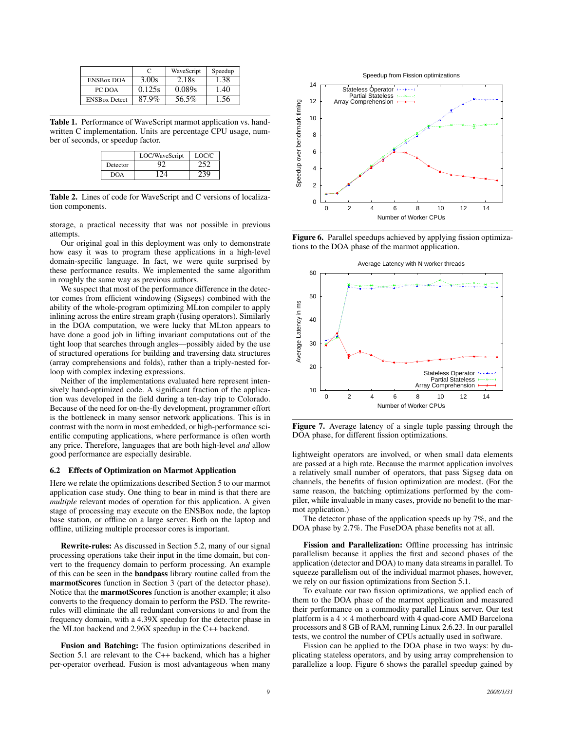|                      |        | WaveScript | Speedup |
|----------------------|--------|------------|---------|
| <b>ENSBox DOA</b>    | 3.00s  | 2.18s      | 1.38    |
| PC DOA               | 0.125s | 0.089s     | 1.40    |
| <b>ENSBox Detect</b> | 87.9%  | 56.5%      | 1.56    |

Table 1. Performance of WaveScript marmot application vs. handwritten C implementation. Units are percentage CPU usage, number of seconds, or speedup factor.

|          | LOC/WaveScript | LOC/C |
|----------|----------------|-------|
| Detector |                |       |
| DOA      | <u>уа</u>      |       |

Table 2. Lines of code for WaveScript and C versions of localization components.

storage, a practical necessity that was not possible in previous attempts.

Our original goal in this deployment was only to demonstrate how easy it was to program these applications in a high-level domain-specific language. In fact, we were quite surprised by these performance results. We implemented the same algorithm in roughly the same way as previous authors.

We suspect that most of the performance difference in the detector comes from efficient windowing (Sigsegs) combined with the ability of the whole-program optimizing MLton compiler to apply inlining across the entire stream graph (fusing operators). Similarly in the DOA computation, we were lucky that MLton appears to have done a good job in lifting invariant computations out of the tight loop that searches through angles—possibly aided by the use of structured operations for building and traversing data structures (array comprehensions and folds), rather than a triply-nested forloop with complex indexing expressions.

Neither of the implementations evaluated here represent intensively hand-optimized code. A significant fraction of the application was developed in the field during a ten-day trip to Colorado. Because of the need for on-the-fly development, programmer effort is the bottleneck in many sensor network applications. This is in contrast with the norm in most embedded, or high-performance scientific computing applications, where performance is often worth any price. Therefore, languages that are both high-level *and* allow good performance are especially desirable.

## 6.2 Effects of Optimization on Marmot Application

Here we relate the optimizations described Section 5 to our marmot application case study. One thing to bear in mind is that there are *multiple* relevant modes of operation for this application. A given stage of processing may execute on the ENSBox node, the laptop base station, or offline on a large server. Both on the laptop and offline, utilizing multiple processor cores is important.

Rewrite-rules: As discussed in Section 5.2, many of our signal processing operations take their input in the time domain, but convert to the frequency domain to perform processing. An example of this can be seen in the bandpass library routine called from the marmotScores function in Section 3 (part of the detector phase). Notice that the marmotScores function is another example; it also converts to the frequency domain to perform the PSD. The rewriterules will eliminate the all redundant conversions to and from the frequency domain, with a 4.39X speedup for the detector phase in the MLton backend and 2.96X speedup in the C++ backend.

Fusion and Batching: The fusion optimizations described in Section 5.1 are relevant to the C++ backend, which has a higher per-operator overhead. Fusion is most advantageous when many



Figure 6. Parallel speedups achieved by applying fission optimizations to the DOA phase of the marmot application.



Figure 7. Average latency of a single tuple passing through the DOA phase, for different fission optimizations.

lightweight operators are involved, or when small data elements are passed at a high rate. Because the marmot application involves a relatively small number of operators, that pass Sigseg data on channels, the benefits of fusion optimization are modest. (For the same reason, the batching optimizations performed by the compiler, while invaluable in many cases, provide no benefit to the marmot application.)

The detector phase of the application speeds up by 7%, and the DOA phase by 2.7%. The FuseDOA phase benefits not at all.

Fission and Parallelization: Offline processing has intrinsic parallelism because it applies the first and second phases of the application (detector and DOA) to many data streams in parallel. To squeeze parallelism out of the individual marmot phases, however, we rely on our fission optimizations from Section 5.1.

To evaluate our two fission optimizations, we applied each of them to the DOA phase of the marmot application and measured their performance on a commodity parallel Linux server. Our test platform is a  $4 \times 4$  motherboard with 4 quad-core AMD Barcelona processors and 8 GB of RAM, running Linux 2.6.23. In our parallel tests, we control the number of CPUs actually used in software.

Fission can be applied to the DOA phase in two ways: by duplicating stateless operators, and by using array comprehension to parallelize a loop. Figure 6 shows the parallel speedup gained by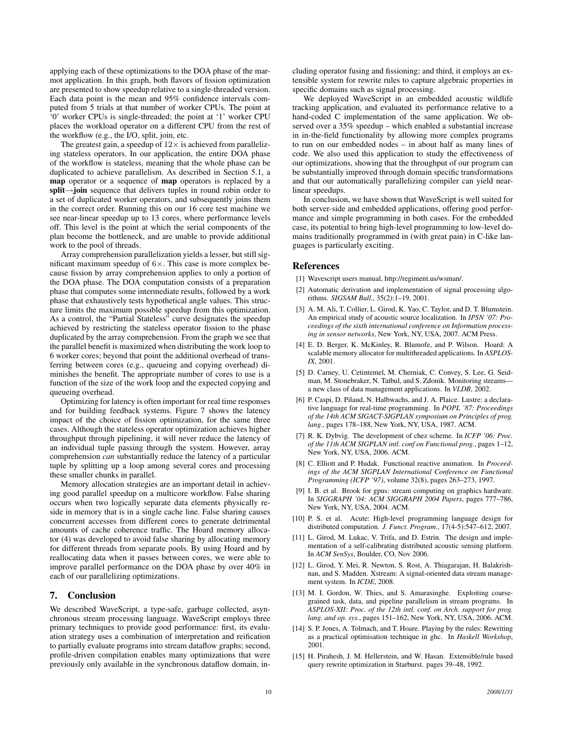applying each of these optimizations to the DOA phase of the marmot application. In this graph, both flavors of fission optimization are presented to show speedup relative to a single-threaded version. Each data point is the mean and 95% confidence intervals computed from 5 trials at that number of worker CPUs. The point at '0' worker CPUs is single-threaded; the point at '1' worker CPU places the workload operator on a different CPU from the rest of the workflow (e.g., the I/O, split, join, etc.

The greatest gain, a speedup of  $12\times$  is achieved from parallelizing stateless operators. In our application, the entire DOA phase of the workflow is stateless, meaning that the whole phase can be duplicated to achieve parallelism. As described in Section 5.1, a map operator or a sequence of map operators is replaced by a split→join sequence that delivers tuples in round robin order to a set of duplicated worker operators, and subsequently joins them in the correct order. Running this on our 16 core test machine we see near-linear speedup up to 13 cores, where performance levels off. This level is the point at which the serial components of the plan become the bottleneck, and are unable to provide additional work to the pool of threads.

Array comprehension parallelization yields a lesser, but still significant maximum speedup of  $6 \times$ . This case is more complex because fission by array comprehension applies to only a portion of the DOA phase. The DOA computation consists of a preparation phase that computes some intermediate results, followed by a work phase that exhaustively tests hypothetical angle values. This structure limits the maximum possible speedup from this optimization. As a control, the "Partial Stateless" curve designates the speedup achieved by restricting the stateless operator fission to the phase duplicated by the array comprehension. From the graph we see that the parallel benefit is maximized when distributing the work loop to 6 worker cores; beyond that point the additional overhead of transferring between cores (e.g., queueing and copying overhead) diminishes the benefit. The appropriate number of cores to use is a function of the size of the work loop and the expected copying and queueing overhead.

Optimizing for latency is often important for real time responses and for building feedback systems. Figure 7 shows the latency impact of the choice of fission optimization, for the same three cases. Although the stateless operator optimization achieves higher throughput through pipelining, it will never reduce the latency of an individual tuple passing through the system. However, array comprehension *can* substantially reduce the latency of a particular tuple by splitting up a loop among several cores and processing these smaller chunks in parallel.

Memory allocation strategies are an important detail in achieving good parallel speedup on a multicore workflow. False sharing occurs when two logically separate data elements physically reside in memory that is in a single cache line. False sharing causes concurrent accesses from different cores to generate detrimental amounts of cache coherence traffic. The Hoard memory allocator (4) was developed to avoid false sharing by allocating memory for different threads from separate pools. By using Hoard and by reallocating data when it passes between cores, we were able to improve parallel performance on the DOA phase by over 40% in each of our parallelizing optimizations.

# 7. Conclusion

We described WaveScript, a type-safe, garbage collected, asynchronous stream processing language. WaveScript employs three primary techniques to provide good performance: first, its evaluation strategy uses a combination of interpretation and reification to partially evaluate programs into stream dataflow graphs; second, profile-driven compilation enables many optimizations that were previously only available in the synchronous dataflow domain, including operator fusing and fissioning; and third, it employs an extensible system for rewrite rules to capture algebraic properties in specific domains such as signal processing.

We deployed WaveScript in an embedded acoustic wildlife tracking application, and evaluated its performance relative to a hand-coded C implementation of the same application. We observed over a 35% speedup – which enabled a substantial increase in in-the-field functionality by allowing more complex programs to run on our embedded nodes – in about half as many lines of code. We also used this application to study the effectiveness of our optimizations, showing that the throughput of our program can be substantially improved through domain specific transformations and that our automatically parallelizing compiler can yield nearlinear speedups.

In conclusion, we have shown that WaveScript is well suited for both server-side and embedded applications, offering good performance and simple programming in both cases. For the embedded case, its potential to bring high-level programming to low-level domains traditionally programmed in (with great pain) in C-like languages is particularly exciting.

## References

- [1] Wavescript users manual, http://regiment.us/wsman/.
- [2] Automatic derivation and implementation of signal processing algorithms. *SIGSAM Bull.*, 35(2):1–19, 2001.
- [3] A. M. Ali, T. Collier, L. Girod, K. Yao, C. Taylor, and D. T. Blumstein. An empirical study of acoustic source localization. In *IPSN '07: Proceedings of the sixth international conference on Information processing in sensor networks*, New York, NY, USA, 2007. ACM Press.
- [4] E. D. Berger, K. McKinley, R. Blumofe, and P. Wilson. Hoard: A scalable memory allocator for multithreaded applications. In *ASPLOS-IX*, 2001.
- [5] D. Carney, U. Cetintemel, M. Cherniak, C. Convey, S. Lee, G. Seidman, M. Stonebraker, N. Tatbul, and S. Zdonik. Monitoring streams a new class of data management applications. In *VLDB*, 2002.
- [6] P. Caspi, D. Pilaud, N. Halbwachs, and J. A. Plaice. Lustre: a declarative language for real-time programming. In *POPL '87: Proceedings of the 14th ACM SIGACT-SIGPLAN symposium on Principles of prog. lang.*, pages 178–188, New York, NY, USA, 1987. ACM.
- [7] R. K. Dybvig. The development of chez scheme. In *ICFP '06: Proc. of the 11th ACM SIGPLAN intl. conf on Functional prog.*, pages 1–12, New York, NY, USA, 2006. ACM.
- [8] C. Elliott and P. Hudak. Functional reactive animation. In *Proceedings of the ACM SIGPLAN International Conference on Functional Programming (ICFP '97)*, volume 32(8), pages 263–273, 1997.
- [9] I. B. et al. Brook for gpus: stream computing on graphics hardware. In *SIGGRAPH '04: ACM SIGGRAPH 2004 Papers*, pages 777–786, New York, NY, USA, 2004. ACM.
- [10] P. S. et al. Acute: High-level programming language design for distributed computation. *J. Funct. Program.*, 17(4-5):547–612, 2007.
- [11] L. Girod, M. Lukac, V. Trifa, and D. Estrin. The design and implementation of a self-calibrating distributed acoustic sensing platform. In *ACM SenSys*, Boulder, CO, Nov 2006.
- [12] L. Girod, Y. Mei, R. Newton, S. Rost, A. Thiagarajan, H. Balakrishnan, and S. Madden. Xstream: A signal-oriented data stream management system. In *ICDE*, 2008.
- [13] M. I. Gordon, W. Thies, and S. Amarasinghe. Exploiting coarsegrained task, data, and pipeline parallelism in stream programs. In *ASPLOS-XII: Proc. of the 12th intl. conf. on Arch. support for prog. lang. and op. sys.*, pages 151–162, New York, NY, USA, 2006. ACM.
- [14] S. P. Jones, A. Tolmach, and T. Hoare. Playing by the rules: Rewriting as a practical optimisation technique in ghc. In *Haskell Workshop*, 2001.
- [15] H. Pirahesh, J. M. Hellerstein, and W. Hasan. Extensible/rule based query rewrite optimization in Starburst. pages 39–48, 1992.